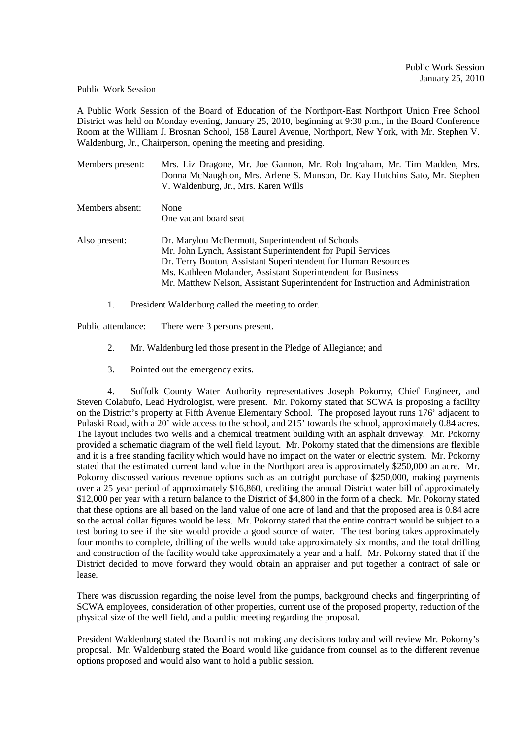## Public Work Session

A Public Work Session of the Board of Education of the Northport-East Northport Union Free School District was held on Monday evening, January 25, 2010, beginning at 9:30 p.m., in the Board Conference Room at the William J. Brosnan School, 158 Laurel Avenue, Northport, New York, with Mr. Stephen V. Waldenburg, Jr., Chairperson, opening the meeting and presiding.

| Members present: | Mrs. Liz Dragone, Mr. Joe Gannon, Mr. Rob Ingraham, Mr. Tim Madden, Mrs.<br>Donna McNaughton, Mrs. Arlene S. Munson, Dr. Kay Hutchins Sato, Mr. Stephen<br>V. Waldenburg, Jr., Mrs. Karen Wills |
|------------------|-------------------------------------------------------------------------------------------------------------------------------------------------------------------------------------------------|
| Members absent:  | None                                                                                                                                                                                            |
|                  | One vacant board seat                                                                                                                                                                           |
| Also present:    | Dr. Marylou McDermott, Superintendent of Schools                                                                                                                                                |
|                  | Mr. John Lynch, Assistant Superintendent for Pupil Services                                                                                                                                     |
|                  | Dr. Terry Bouton, Assistant Superintendent for Human Resources                                                                                                                                  |
|                  | Ms. Kathleen Molander, Assistant Superintendent for Business                                                                                                                                    |
|                  | Mr. Matthew Nelson, Assistant Superintendent for Instruction and Administration                                                                                                                 |

1. President Waldenburg called the meeting to order.

Public attendance: There were 3 persons present.

- 2. Mr. Waldenburg led those present in the Pledge of Allegiance; and
- 3. Pointed out the emergency exits.

4. Suffolk County Water Authority representatives Joseph Pokorny, Chief Engineer, and Steven Colabufo, Lead Hydrologist, were present. Mr. Pokorny stated that SCWA is proposing a facility on the District's property at Fifth Avenue Elementary School. The proposed layout runs 176' adjacent to Pulaski Road, with a 20' wide access to the school, and 215' towards the school, approximately 0.84 acres. The layout includes two wells and a chemical treatment building with an asphalt driveway. Mr. Pokorny provided a schematic diagram of the well field layout. Mr. Pokorny stated that the dimensions are flexible and it is a free standing facility which would have no impact on the water or electric system. Mr. Pokorny stated that the estimated current land value in the Northport area is approximately \$250,000 an acre. Mr. Pokorny discussed various revenue options such as an outright purchase of \$250,000, making payments over a 25 year period of approximately \$16,860, crediting the annual District water bill of approximately \$12,000 per year with a return balance to the District of \$4,800 in the form of a check. Mr. Pokorny stated that these options are all based on the land value of one acre of land and that the proposed area is 0.84 acre so the actual dollar figures would be less. Mr. Pokorny stated that the entire contract would be subject to a test boring to see if the site would provide a good source of water. The test boring takes approximately four months to complete, drilling of the wells would take approximately six months, and the total drilling and construction of the facility would take approximately a year and a half. Mr. Pokorny stated that if the District decided to move forward they would obtain an appraiser and put together a contract of sale or lease.

There was discussion regarding the noise level from the pumps, background checks and fingerprinting of SCWA employees, consideration of other properties, current use of the proposed property, reduction of the physical size of the well field, and a public meeting regarding the proposal.

President Waldenburg stated the Board is not making any decisions today and will review Mr. Pokorny's proposal. Mr. Waldenburg stated the Board would like guidance from counsel as to the different revenue options proposed and would also want to hold a public session.